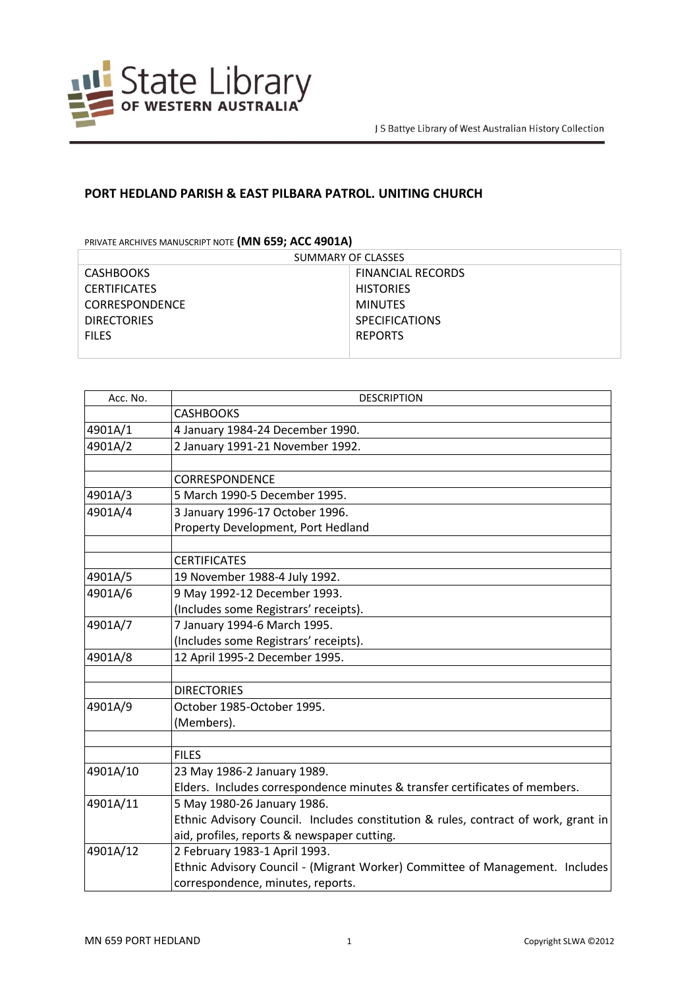

## **PORT HEDLAND PARISH & EAST PILBARA PATROL. UNITING CHURCH**

PRIVATE ARCHIVES MANUSCRIPT NOTE **(MN 659; ACC 4901A)**

| SUMMARY OF CLASSES    |                          |
|-----------------------|--------------------------|
| <b>CASHBOOKS</b>      | <b>FINANCIAL RECORDS</b> |
| <b>CERTIFICATES</b>   | <b>HISTORIES</b>         |
| <b>CORRESPONDENCE</b> | <b>MINUTES</b>           |
| <b>DIRECTORIES</b>    | <b>SPECIFICATIONS</b>    |
| <b>FILES</b>          | <b>REPORTS</b>           |
|                       |                          |

| Acc. No. | <b>DESCRIPTION</b>                                                                 |  |
|----------|------------------------------------------------------------------------------------|--|
|          | <b>CASHBOOKS</b>                                                                   |  |
| 4901A/1  | 4 January 1984-24 December 1990.                                                   |  |
| 4901A/2  | 2 January 1991-21 November 1992.                                                   |  |
|          |                                                                                    |  |
|          | <b>CORRESPONDENCE</b>                                                              |  |
| 4901A/3  | 5 March 1990-5 December 1995.                                                      |  |
| 4901A/4  | 3 January 1996-17 October 1996.                                                    |  |
|          | Property Development, Port Hedland                                                 |  |
|          |                                                                                    |  |
|          | <b>CERTIFICATES</b>                                                                |  |
| 4901A/5  | 19 November 1988-4 July 1992.                                                      |  |
| 4901A/6  | 9 May 1992-12 December 1993.                                                       |  |
|          | (Includes some Registrars' receipts).                                              |  |
| 4901A/7  | 7 January 1994-6 March 1995.                                                       |  |
|          | (Includes some Registrars' receipts).                                              |  |
| 4901A/8  | 12 April 1995-2 December 1995.                                                     |  |
|          |                                                                                    |  |
|          | <b>DIRECTORIES</b>                                                                 |  |
| 4901A/9  | October 1985-October 1995.                                                         |  |
|          | (Members).                                                                         |  |
|          |                                                                                    |  |
|          | <b>FILES</b>                                                                       |  |
| 4901A/10 | 23 May 1986-2 January 1989.                                                        |  |
|          | Elders. Includes correspondence minutes & transfer certificates of members.        |  |
| 4901A/11 | 5 May 1980-26 January 1986.                                                        |  |
|          | Ethnic Advisory Council. Includes constitution & rules, contract of work, grant in |  |
|          | aid, profiles, reports & newspaper cutting.                                        |  |
| 4901A/12 | 2 February 1983-1 April 1993.                                                      |  |
|          | Ethnic Advisory Council - (Migrant Worker) Committee of Management. Includes       |  |
|          | correspondence, minutes, reports.                                                  |  |